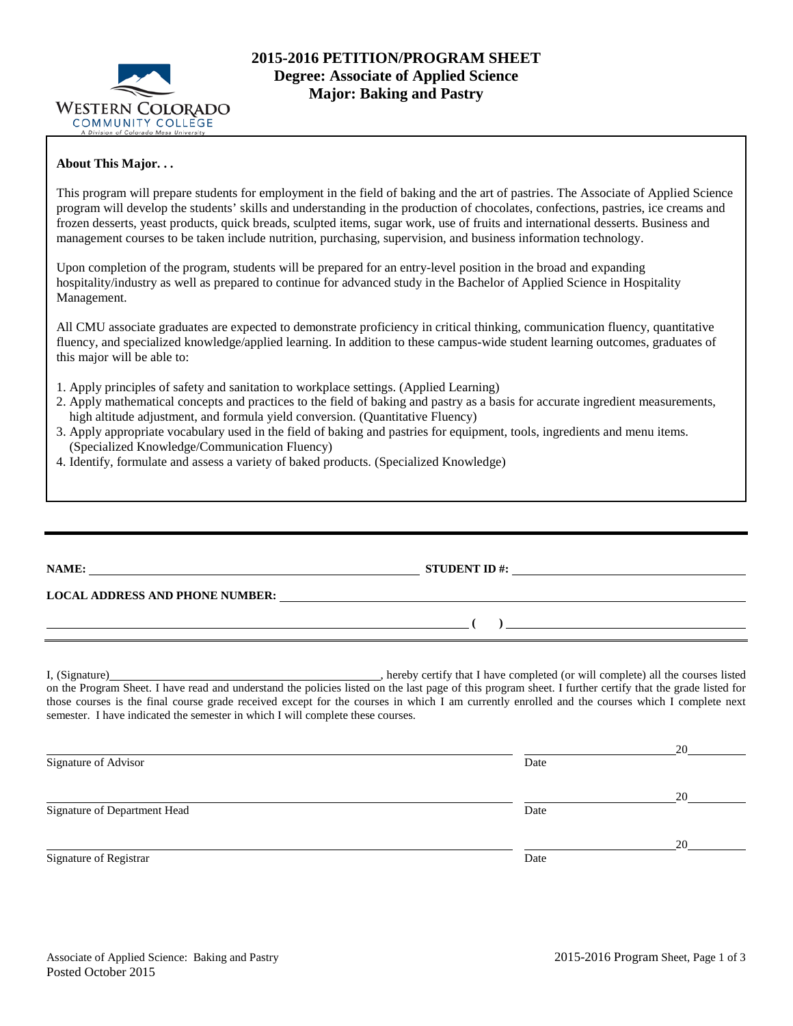

### **About This Major. . .**

This program will prepare students for employment in the field of baking and the art of pastries. The Associate of Applied Science program will develop the students' skills and understanding in the production of chocolates, confections, pastries, ice creams and frozen desserts, yeast products, quick breads, sculpted items, sugar work, use of fruits and international desserts. Business and management courses to be taken include nutrition, purchasing, supervision, and business information technology.

Upon completion of the program, students will be prepared for an entry-level position in the broad and expanding hospitality/industry as well as prepared to continue for advanced study in the Bachelor of Applied Science in Hospitality Management.

All CMU associate graduates are expected to demonstrate proficiency in critical thinking, communication fluency, quantitative fluency, and specialized knowledge/applied learning. In addition to these campus-wide student learning outcomes, graduates of this major will be able to:

- 1. Apply principles of safety and sanitation to workplace settings. (Applied Learning)
- 2. Apply mathematical concepts and practices to the field of baking and pastry as a basis for accurate ingredient measurements, high altitude adjustment, and formula yield conversion. (Quantitative Fluency)
- 3. Apply appropriate vocabulary used in the field of baking and pastries for equipment, tools, ingredients and menu items. (Specialized Knowledge/Communication Fluency)
- 4. Identify, formulate and assess a variety of baked products. (Specialized Knowledge)

| STUDENT ID #: $\qquad \qquad$                                                                                                                            |  |
|----------------------------------------------------------------------------------------------------------------------------------------------------------|--|
| $\begin{pmatrix} 1 & 1 \\ 1 & 1 \end{pmatrix}$                                                                                                           |  |
| on the Program Sheet. I have read and understand the policies listed on the last page of this program sheet. I further certify that the grade listed for |  |

those courses is the final course grade received except for the courses in which I am currently enrolled and the courses which I complete next semester. I have indicated the semester in which I will complete these courses.

|                              |      | 20 |
|------------------------------|------|----|
| Signature of Advisor         | Date |    |
|                              |      | 20 |
| Signature of Department Head | Date |    |
|                              |      | 20 |
| Signature of Registrar       | Date |    |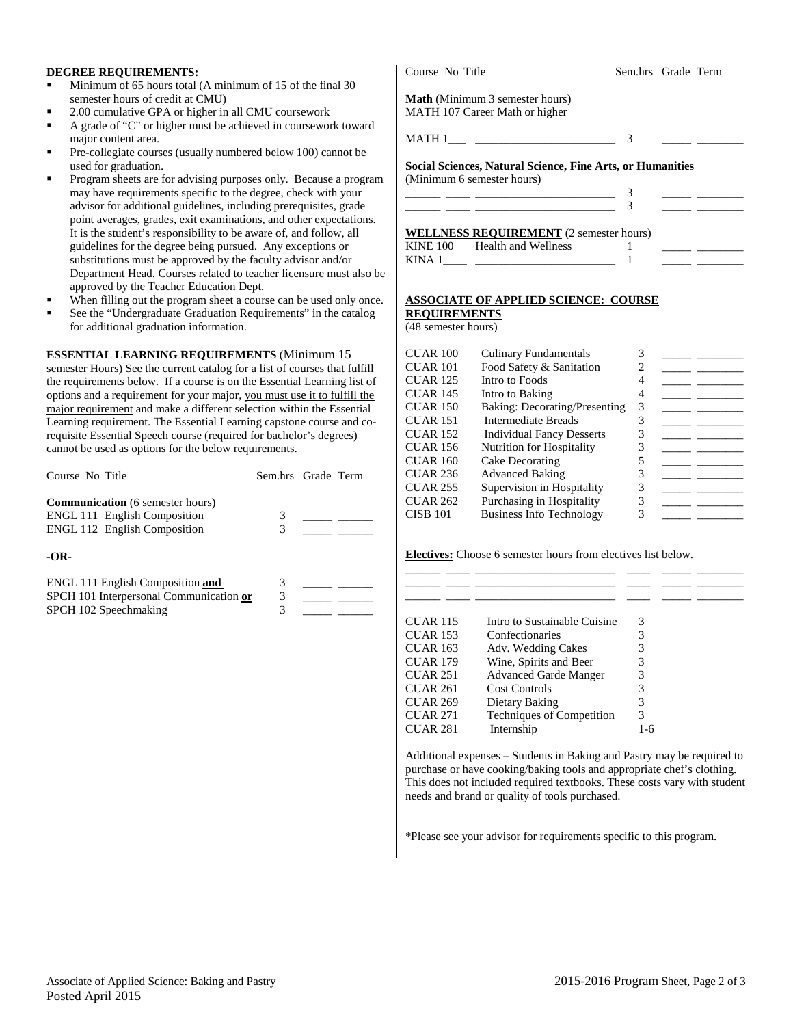### **DEGREE REQUIREMENTS:**

- Minimum of 65 hours total (A minimum of 15 of the final 30 semester hours of credit at CMU)
- 2.00 cumulative GPA or higher in all CMU coursework
- A grade of "C" or higher must be achieved in coursework toward major content area.
- Pre-collegiate courses (usually numbered below 100) cannot be used for graduation.
- Program sheets are for advising purposes only. Because a program may have requirements specific to the degree, check with your advisor for additional guidelines, including prerequisites, grade point averages, grades, exit examinations, and other expectations. It is the student's responsibility to be aware of, and follow, all guidelines for the degree being pursued. Any exceptions or substitutions must be approved by the faculty advisor and/or Department Head. Courses related to teacher licensure must also be approved by the Teacher Education Dept.
- When filling out the program sheet a course can be used only once.
- See the "Undergraduate Graduation Requirements" in the catalog for additional graduation information.

**ESSENTIAL LEARNING REQUIREMENTS** (Minimum 15

semester Hours) See the current catalog for a list of courses that fulfill the requirements below. If a course is on the Essential Learning list of options and a requirement for your major, you must use it to fulfill the major requirement and make a different selection within the Essential Learning requirement. The Essential Learning capstone course and corequisite Essential Speech course (required for bachelor's degrees) cannot be used as options for the below requirements.

| Course No Title                                                                                                       | Sem.hrs Grade Term |  |
|-----------------------------------------------------------------------------------------------------------------------|--------------------|--|
| <b>Communication</b> (6 semester hours)<br><b>ENGL 111 English Composition</b><br><b>ENGL 112 English Composition</b> |                    |  |
| $-OR-$                                                                                                                |                    |  |

| ENGL 111 English Composition and        |  |
|-----------------------------------------|--|
| SPCH 101 Interpersonal Communication or |  |
| SPCH 102 Speechmaking                   |  |

**Math** (Minimum 3 semester hours) MATH 107 Career Math or higher

MATH 1\_\_\_ \_\_\_\_\_\_\_\_\_\_\_\_\_\_\_\_\_\_\_\_\_\_\_\_ 3 \_\_\_\_\_ \_\_\_\_\_\_\_\_

**Social Sciences, Natural Science, Fine Arts, or Humanities**  (Minimum 6 semester hours)

|  | ,我们也不会有什么?""我们的人,我们也不会有什么?""我们的人,我们也不会有什么?""我们的人,我们也不会有什么?""我们的人,我们也不会有什么?""我们的人<br>____ | ___ |                                                                                                                 |
|--|------------------------------------------------------------------------------------------|-----|-----------------------------------------------------------------------------------------------------------------|
|  |                                                                                          |     | the contract of the contract of the contract of the contract of the contract of the contract of the contract of |

#### **WELLNESS REQUIREMENT** (2 semester hours) KINE  $100$

| <b>KINE 100</b> | Health and Wellness |  |
|-----------------|---------------------|--|
| <b>KINA</b>     |                     |  |

# **ASSOCIATE OF APPLIED SCIENCE: COURSE**

**REQUIREMENTS** (48 semester hours)

| CUAR 100        | <b>Culinary Fundamentals</b>     |   |  |
|-----------------|----------------------------------|---|--|
| CUAR 101        | Food Safety & Sanitation         | 2 |  |
| CUAR 125        | Intro to Foods                   | 4 |  |
| CUAR 145        | Intro to Baking                  | 4 |  |
| CUAR 150        | Baking: Decorating/Presenting    | 3 |  |
| CUAR 151        | Intermediate Breads              | 3 |  |
| CUAR 152        | <b>Individual Fancy Desserts</b> |   |  |
| CUAR 156        | Nutrition for Hospitality        | 3 |  |
| <b>CUAR 160</b> | Cake Decorating                  | 5 |  |
| CUAR 236        | <b>Advanced Baking</b>           | 3 |  |
| CUAR 255        | Supervision in Hospitality       | 3 |  |
| <b>CUAR 262</b> | Purchasing in Hospitality        | 3 |  |
| CISB 101        | <b>Business Info Technology</b>  | 3 |  |
|                 |                                  |   |  |

**Electives:** Choose 6 semester hours from electives list below.

| <b>CUAR 115</b> | Intro to Sustainable Cuisine | 3    |
|-----------------|------------------------------|------|
| <b>CUAR 153</b> | Confectionaries              | 3    |
| <b>CUAR 163</b> | Adv. Wedding Cakes           | 3    |
| <b>CUAR 179</b> | Wine, Spirits and Beer       | 3    |
| <b>CUAR 251</b> | <b>Advanced Garde Manger</b> | 3    |
| <b>CUAR 261</b> | <b>Cost Controls</b>         | 3    |
| <b>CUAR 269</b> | Dietary Baking               | 3    |
| <b>CUAR 271</b> | Techniques of Competition    | 3    |
| <b>CUAR 281</b> | Internship                   | I -6 |

Additional expenses – Students in Baking and Pastry may be required to purchase or have cooking/baking tools and appropriate chef's clothing. This does not included required textbooks. These costs vary with student needs and brand or quality of tools purchased.

\*Please see your advisor for requirements specific to this program.